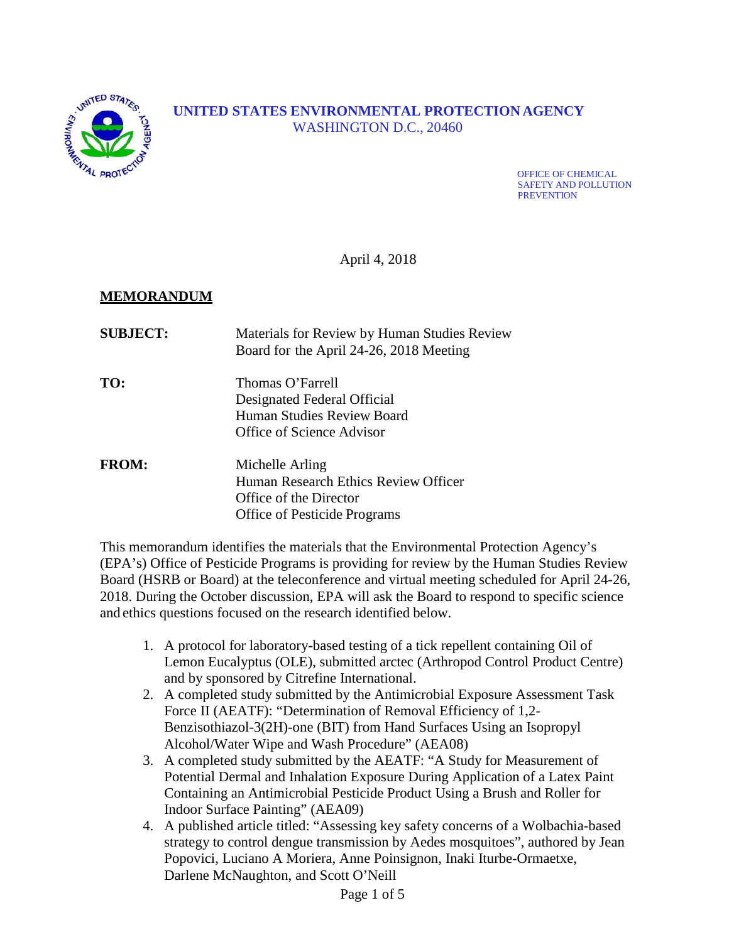

# **UNITED STATES ENVIRONMENTAL PROTECTION AGENCY** WASHINGTON D.C., 20460

OFFICE OF CHEMICAL SAFETY AND POLLUTION **PREVENTION** 

April 4, 2018

# **MEMORANDUM**

| <b>SUBJECT:</b> | Materials for Review by Human Studies Review<br>Board for the April 24-26, 2018 Meeting                                  |
|-----------------|--------------------------------------------------------------------------------------------------------------------------|
| TO:             | Thomas O'Farrell<br>Designated Federal Official<br>Human Studies Review Board<br>Office of Science Advisor               |
| <b>FROM:</b>    | Michelle Arling<br>Human Research Ethics Review Officer<br>Office of the Director<br><b>Office of Pesticide Programs</b> |

This memorandum identifies the materials that the Environmental Protection Agency's (EPA's) Office of Pesticide Programs is providing for review by the Human Studies Review Board (HSRB or Board) at the teleconference and virtual meeting scheduled for April 24-26, 2018. During the October discussion, EPA will ask the Board to respond to specific science and ethics questions focused on the research identified below.

- 1. A protocol for laboratory-based testing of a tick repellent containing Oil of Lemon Eucalyptus (OLE), submitted arctec (Arthropod Control Product Centre) and by sponsored by Citrefine International.
- 2. A completed study submitted by the Antimicrobial Exposure Assessment Task Force II (AEATF): "Determination of Removal Efficiency of 1,2- Benzisothiazol-3(2H)-one (BIT) from Hand Surfaces Using an Isopropyl Alcohol/Water Wipe and Wash Procedure" (AEA08)
- 3. A completed study submitted by the AEATF: "A Study for Measurement of Potential Dermal and Inhalation Exposure During Application of a Latex Paint Containing an Antimicrobial Pesticide Product Using a Brush and Roller for Indoor Surface Painting" (AEA09)
- 4. A published article titled: "Assessing key safety concerns of a Wolbachia-based strategy to control dengue transmission by Aedes mosquitoes", authored by Jean Popovici, Luciano A Moriera, Anne Poinsignon, Inaki Iturbe-Ormaetxe, Darlene McNaughton, and Scott O'Neill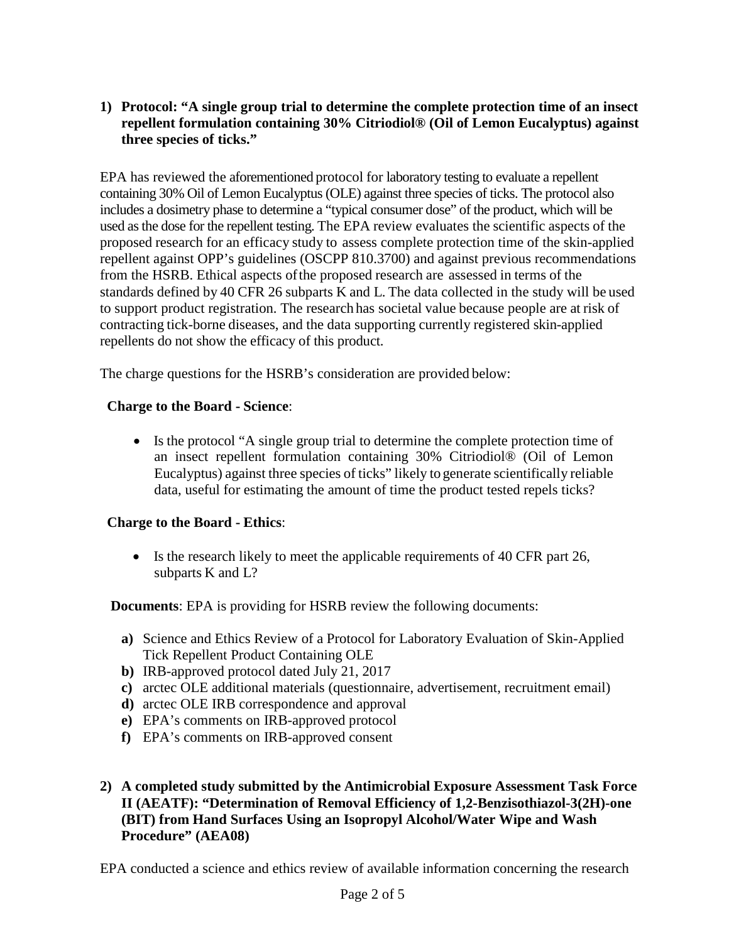### **1) Protocol: "A single group trial to determine the complete protection time of an insect repellent formulation containing 30% Citriodiol® (Oil of Lemon Eucalyptus) against three species of ticks."**

EPA has reviewed the aforementioned protocol for laboratory testing to evaluate a repellent containing 30% Oil of Lemon Eucalyptus (OLE) against three species of ticks. The protocol also includes a dosimetry phase to determine a "typical consumer dose" of the product, which will be used as the dose for the repellent testing. The EPA review evaluates the scientific aspects of the proposed research for an efficacy study to assess complete protection time of the skin-applied repellent against OPP's guidelines (OSCPP 810.3700) and against previous recommendations from the HSRB. Ethical aspects ofthe proposed research are assessed in terms of the standards defined by 40 CFR 26 subparts K and L. The data collected in the study will be used to support product registration. The research has societal value because people are at risk of contracting tick-borne diseases, and the data supporting currently registered skin-applied repellents do not show the efficacy of this product.

The charge questions for the HSRB's consideration are provided below:

### **Charge to the Board - Science**:

• Is the protocol "A single group trial to determine the complete protection time of an insect repellent formulation containing 30% Citriodiol® (Oil of Lemon Eucalyptus) against three species of ticks" likely to generate scientifically reliable data, useful for estimating the amount of time the product tested repels ticks?

#### **Charge to the Board - Ethics**:

• Is the research likely to meet the applicable requirements of 40 CFR part 26, subparts K and L?

**Documents**: EPA is providing for HSRB review the following documents:

- **a)** Science and Ethics Review of a Protocol for Laboratory Evaluation of Skin-Applied Tick Repellent Product Containing OLE
- **b)** IRB-approved protocol dated July 21, 2017
- **c)** arctec OLE additional materials (questionnaire, advertisement, recruitment email)
- **d)** arctec OLE IRB correspondence and approval
- **e)** EPA's comments on IRB-approved protocol
- **f)** EPA's comments on IRB-approved consent
- **2) A completed study submitted by the Antimicrobial Exposure Assessment Task Force II (AEATF): "Determination of Removal Efficiency of 1,2-Benzisothiazol-3(2H)-one (BIT) from Hand Surfaces Using an Isopropyl Alcohol/Water Wipe and Wash Procedure" (AEA08)**

EPA conducted a science and ethics review of available information concerning the research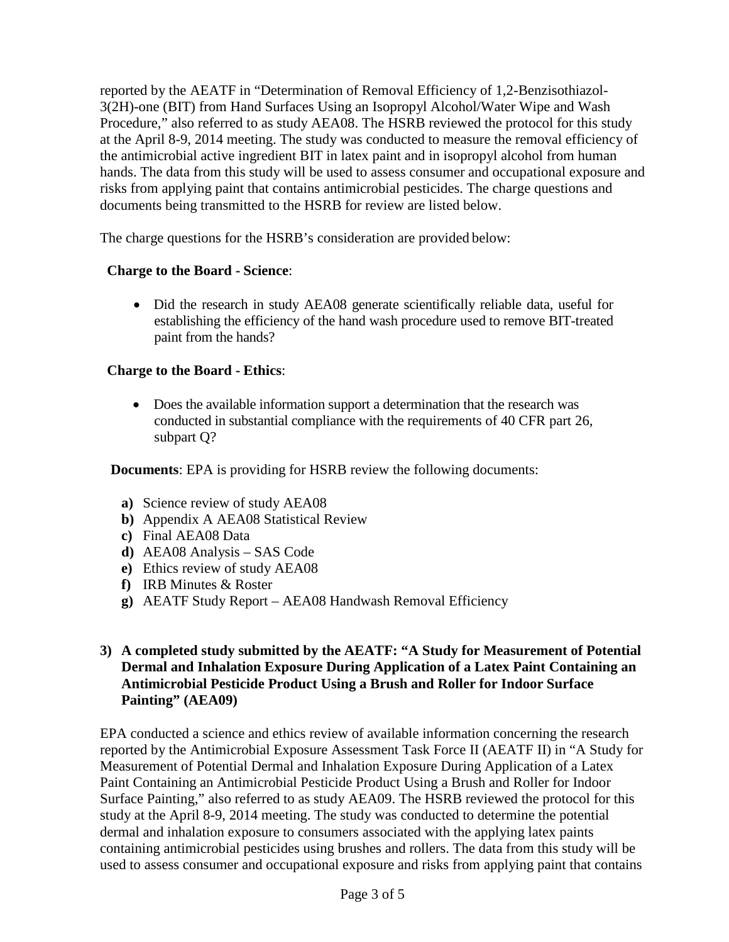reported by the AEATF in "Determination of Removal Efficiency of 1,2-Benzisothiazol-3(2H)-one (BIT) from Hand Surfaces Using an Isopropyl Alcohol/Water Wipe and Wash Procedure," also referred to as study AEA08. The HSRB reviewed the protocol for this study at the April 8-9, 2014 meeting. The study was conducted to measure the removal efficiency of the antimicrobial active ingredient BIT in latex paint and in isopropyl alcohol from human hands. The data from this study will be used to assess consumer and occupational exposure and risks from applying paint that contains antimicrobial pesticides. The charge questions and documents being transmitted to the HSRB for review are listed below.

The charge questions for the HSRB's consideration are provided below:

## **Charge to the Board - Science**:

• Did the research in study AEA08 generate scientifically reliable data, useful for establishing the efficiency of the hand wash procedure used to remove BIT-treated paint from the hands?

## **Charge to the Board - Ethics**:

• Does the available information support a determination that the research was conducted in substantial compliance with the requirements of 40 CFR part 26, subpart Q?

**Documents**: EPA is providing for HSRB review the following documents:

- **a)** Science review of study AEA08
- **b)** Appendix A AEA08 Statistical Review
- **c)** Final AEA08 Data
- **d)** AEA08 Analysis SAS Code
- **e)** Ethics review of study AEA08
- **f)** IRB Minutes & Roster
- **g)** AEATF Study Report AEA08 Handwash Removal Efficiency

### **3) A completed study submitted by the AEATF: "A Study for Measurement of Potential Dermal and Inhalation Exposure During Application of a Latex Paint Containing an Antimicrobial Pesticide Product Using a Brush and Roller for Indoor Surface Painting" (AEA09)**

EPA conducted a science and ethics review of available information concerning the research reported by the Antimicrobial Exposure Assessment Task Force II (AEATF II) in "A Study for Measurement of Potential Dermal and Inhalation Exposure During Application of a Latex Paint Containing an Antimicrobial Pesticide Product Using a Brush and Roller for Indoor Surface Painting," also referred to as study AEA09. The HSRB reviewed the protocol for this study at the April 8-9, 2014 meeting. The study was conducted to determine the potential dermal and inhalation exposure to consumers associated with the applying latex paints containing antimicrobial pesticides using brushes and rollers. The data from this study will be used to assess consumer and occupational exposure and risks from applying paint that contains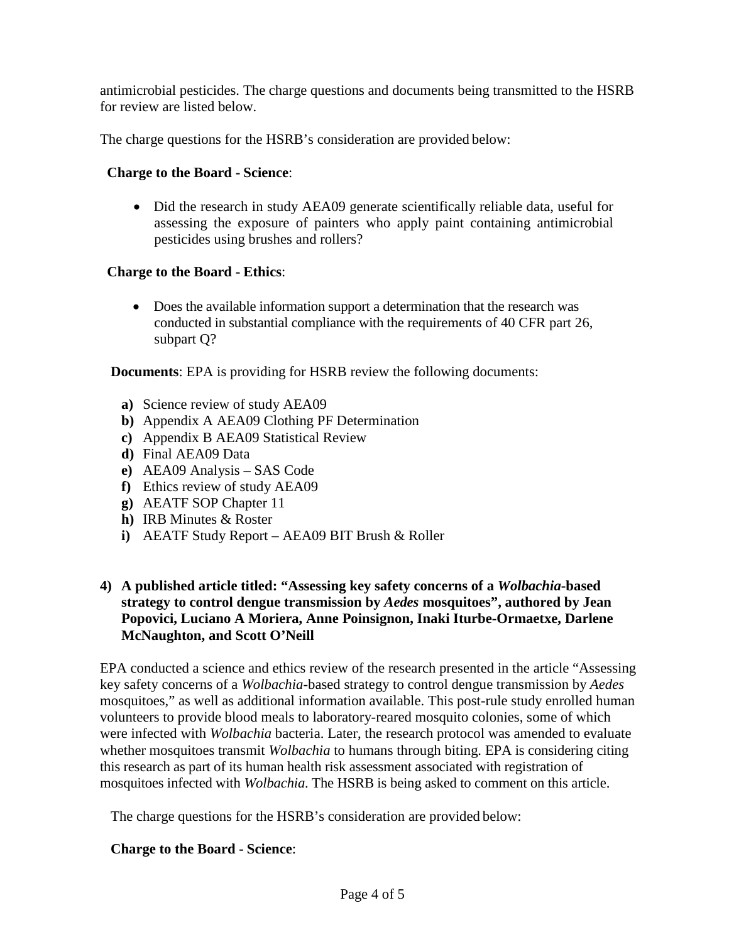antimicrobial pesticides. The charge questions and documents being transmitted to the HSRB for review are listed below.

The charge questions for the HSRB's consideration are provided below:

### **Charge to the Board - Science**:

• Did the research in study AEA09 generate scientifically reliable data, useful for assessing the exposure of painters who apply paint containing antimicrobial pesticides using brushes and rollers?

### **Charge to the Board - Ethics**:

• Does the available information support a determination that the research was conducted in substantial compliance with the requirements of 40 CFR part 26, subpart Q?

**Documents**: EPA is providing for HSRB review the following documents:

- **a)** Science review of study AEA09
- **b)** Appendix A AEA09 Clothing PF Determination
- **c)** Appendix B AEA09 Statistical Review
- **d)** Final AEA09 Data
- **e)** AEA09 Analysis SAS Code
- **f)** Ethics review of study AEA09
- **g)** AEATF SOP Chapter 11
- **h)** IRB Minutes & Roster
- **i)** AEATF Study Report AEA09 BIT Brush & Roller

### **4) A published article titled: "Assessing key safety concerns of a** *Wolbachia***-based strategy to control dengue transmission by** *Aedes* **mosquitoes", authored by Jean Popovici, Luciano A Moriera, Anne Poinsignon, Inaki Iturbe-Ormaetxe, Darlene McNaughton, and Scott O'Neill**

EPA conducted a science and ethics review of the research presented in the article "Assessing key safety concerns of a *Wolbachia*-based strategy to control dengue transmission by *Aedes* mosquitoes," as well as additional information available. This post-rule study enrolled human volunteers to provide blood meals to laboratory-reared mosquito colonies, some of which were infected with *Wolbachia* bacteria. Later, the research protocol was amended to evaluate whether mosquitoes transmit *Wolbachia* to humans through biting. EPA is considering citing this research as part of its human health risk assessment associated with registration of mosquitoes infected with *Wolbachia*. The HSRB is being asked to comment on this article.

The charge questions for the HSRB's consideration are provided below:

#### **Charge to the Board - Science**: